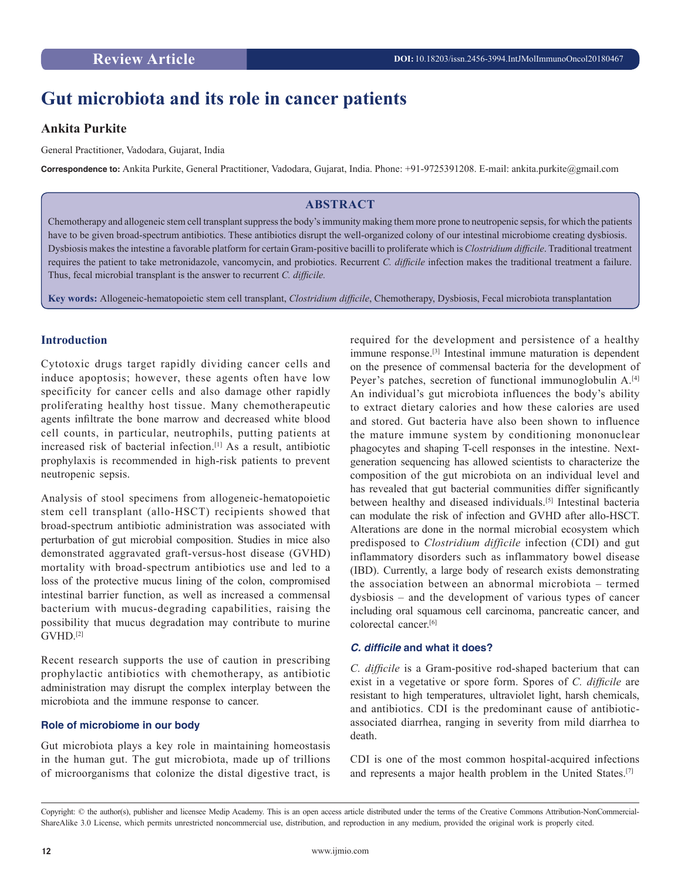# **Gut microbiota and its role in cancer patients**

# **Ankita Purkite**

General Practitioner, Vadodara, Gujarat, India

**Correspondence to:** Ankita Purkite, General Practitioner, Vadodara, Gujarat, India. Phone: +91-9725391208. E-mail: ankita.purkite@gmail.com

# **ABSTRACT**

Chemotherapy and allogeneic stem cell transplant suppress the body's immunity making them more prone to neutropenic sepsis, for which the patients have to be given broad-spectrum antibiotics. These antibiotics disrupt the well-organized colony of our intestinal microbiome creating dysbiosis. Dysbiosis makes the intestine a favorable platform for certain Gram-positive bacilli to proliferate which is *Clostridium difficile*. Traditional treatment requires the patient to take metronidazole, vancomycin, and probiotics. Recurrent *C. difficile* infection makes the traditional treatment a failure. Thus, fecal microbial transplant is the answer to recurrent *C. difficile.*

**Key words:** Allogeneic-hematopoietic stem cell transplant, *Clostridium difficile*, Chemotherapy, Dysbiosis, Fecal microbiota transplantation

# **Introduction**

Cytotoxic drugs target rapidly dividing cancer cells and induce apoptosis; however, these agents often have low specificity for cancer cells and also damage other rapidly proliferating healthy host tissue. Many chemotherapeutic agents infiltrate the bone marrow and decreased white blood cell counts, in particular, neutrophils, putting patients at increased risk of bacterial infection.[1] As a result, antibiotic prophylaxis is recommended in high-risk patients to prevent neutropenic sepsis.

Analysis of stool specimens from allogeneic-hematopoietic stem cell transplant (allo-HSCT) recipients showed that broad-spectrum antibiotic administration was associated with perturbation of gut microbial composition. Studies in mice also demonstrated aggravated graft-versus-host disease (GVHD) mortality with broad-spectrum antibiotics use and led to a loss of the protective mucus lining of the colon, compromised intestinal barrier function, as well as increased a commensal bacterium with mucus-degrading capabilities, raising the possibility that mucus degradation may contribute to murine GVHD.[2]

Recent research supports the use of caution in prescribing prophylactic antibiotics with chemotherapy, as antibiotic administration may disrupt the complex interplay between the microbiota and the immune response to cancer.

#### **Role of microbiome in our body**

Gut microbiota plays a key role in maintaining homeostasis in the human gut. The gut microbiota, made up of trillions of microorganisms that colonize the distal digestive tract, is

required for the development and persistence of a healthy immune response.[3] Intestinal immune maturation is dependent on the presence of commensal bacteria for the development of Peyer's patches, secretion of functional immunoglobulin A.<sup>[4]</sup> An individual's gut microbiota influences the body's ability to extract dietary calories and how these calories are used and stored. Gut bacteria have also been shown to influence the mature immune system by conditioning mononuclear phagocytes and shaping T-cell responses in the intestine. Nextgeneration sequencing has allowed scientists to characterize the composition of the gut microbiota on an individual level and has revealed that gut bacterial communities differ significantly between healthy and diseased individuals.[5] Intestinal bacteria can modulate the risk of infection and GVHD after allo-HSCT. Alterations are done in the normal microbial ecosystem which predisposed to *Clostridium difficile* infection (CDI) and gut inflammatory disorders such as inflammatory bowel disease (IBD). Currently, a large body of research exists demonstrating the association between an abnormal microbiota – termed dysbiosis – and the development of various types of cancer including oral squamous cell carcinoma, pancreatic cancer, and colorectal cancer.[6]

## **C. difficile and what it does?**

*C. difficile* is a Gram-positive rod-shaped bacterium that can exist in a vegetative or spore form. Spores of *C. difficile* are resistant to high temperatures, ultraviolet light, harsh chemicals, and antibiotics. CDI is the predominant cause of antibioticassociated diarrhea, ranging in severity from mild diarrhea to death.

CDI is one of the most common hospital-acquired infections and represents a major health problem in the United States.[7]

Copyright: © the author(s), publisher and licensee Medip Academy. This is an open access article distributed under the terms of the Creative Commons Attribution-NonCommercial-ShareAlike 3.0 License, which permits unrestricted noncommercial use, distribution, and reproduction in any medium, provided the original work is properly cited.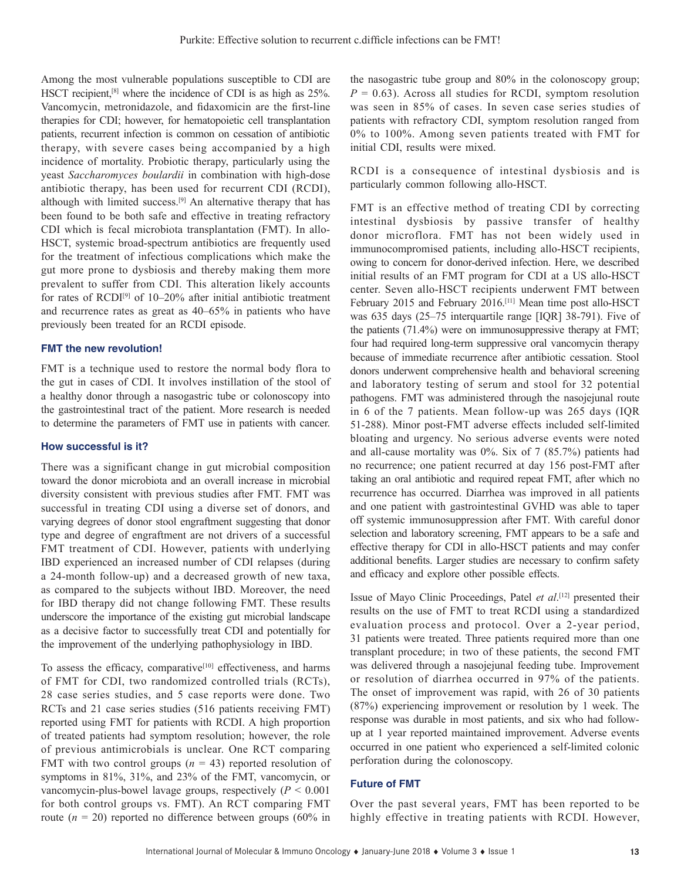Among the most vulnerable populations susceptible to CDI are HSCT recipient,[8] where the incidence of CDI is as high as 25%. Vancomycin, metronidazole, and fidaxomicin are the first-line therapies for CDI; however, for hematopoietic cell transplantation patients, recurrent infection is common on cessation of antibiotic therapy, with severe cases being accompanied by a high incidence of mortality. Probiotic therapy, particularly using the yeast *Saccharomyces boulardii* in combination with high-dose antibiotic therapy, has been used for recurrent CDI (RCDI), although with limited success.[9] An alternative therapy that has been found to be both safe and effective in treating refractory CDI which is fecal microbiota transplantation (FMT). In allo-HSCT, systemic broad-spectrum antibiotics are frequently used for the treatment of infectious complications which make the gut more prone to dysbiosis and thereby making them more prevalent to suffer from CDI. This alteration likely accounts for rates of RCDI[9] of 10–20% after initial antibiotic treatment and recurrence rates as great as 40–65% in patients who have previously been treated for an RCDI episode.

#### **FMT the new revolution!**

FMT is a technique used to restore the normal body flora to the gut in cases of CDI. It involves instillation of the stool of a healthy donor through a nasogastric tube or colonoscopy into the gastrointestinal tract of the patient. More research is needed to determine the parameters of FMT use in patients with cancer.

#### **How successful is it?**

There was a significant change in gut microbial composition toward the donor microbiota and an overall increase in microbial diversity consistent with previous studies after FMT. FMT was successful in treating CDI using a diverse set of donors, and varying degrees of donor stool engraftment suggesting that donor type and degree of engraftment are not drivers of a successful FMT treatment of CDI. However, patients with underlying IBD experienced an increased number of CDI relapses (during a 24-month follow-up) and a decreased growth of new taxa, as compared to the subjects without IBD. Moreover, the need for IBD therapy did not change following FMT. These results underscore the importance of the existing gut microbial landscape as a decisive factor to successfully treat CDI and potentially for the improvement of the underlying pathophysiology in IBD.

To assess the efficacy, comparative<sup>[10]</sup> effectiveness, and harms of FMT for CDI, two randomized controlled trials (RCTs), 28 case series studies, and 5 case reports were done. Two RCTs and 21 case series studies (516 patients receiving FMT) reported using FMT for patients with RCDI. A high proportion of treated patients had symptom resolution; however, the role of previous antimicrobials is unclear. One RCT comparing FMT with two control groups  $(n = 43)$  reported resolution of symptoms in 81%, 31%, and 23% of the FMT, vancomycin, or vancomycin-plus-bowel lavage groups, respectively  $(P < 0.001)$ for both control groups vs. FMT). An RCT comparing FMT route  $(n = 20)$  reported no difference between groups  $(60\%$  in

the nasogastric tube group and 80% in the colonoscopy group;  $P = 0.63$ ). Across all studies for RCDI, symptom resolution was seen in 85% of cases. In seven case series studies of patients with refractory CDI, symptom resolution ranged from 0% to 100%. Among seven patients treated with FMT for initial CDI, results were mixed.

RCDI is a consequence of intestinal dysbiosis and is particularly common following allo-HSCT.

FMT is an effective method of treating CDI by correcting intestinal dysbiosis by passive transfer of healthy donor microflora. FMT has not been widely used in immunocompromised patients, including allo-HSCT recipients, owing to concern for donor-derived infection. Here, we described initial results of an FMT program for CDI at a US allo-HSCT center. Seven allo-HSCT recipients underwent FMT between February 2015 and February 2016.[11] Mean time post allo-HSCT was 635 days (25–75 interquartile range [IQR] 38-791). Five of the patients (71.4%) were on immunosuppressive therapy at FMT; four had required long-term suppressive oral vancomycin therapy because of immediate recurrence after antibiotic cessation. Stool donors underwent comprehensive health and behavioral screening and laboratory testing of serum and stool for 32 potential pathogens. FMT was administered through the nasojejunal route in 6 of the 7 patients. Mean follow-up was 265 days (IQR 51-288). Minor post-FMT adverse effects included self-limited bloating and urgency. No serious adverse events were noted and all-cause mortality was 0%. Six of 7 (85.7%) patients had no recurrence; one patient recurred at day 156 post-FMT after taking an oral antibiotic and required repeat FMT, after which no recurrence has occurred. Diarrhea was improved in all patients and one patient with gastrointestinal GVHD was able to taper off systemic immunosuppression after FMT. With careful donor selection and laboratory screening, FMT appears to be a safe and effective therapy for CDI in allo-HSCT patients and may confer additional benefits. Larger studies are necessary to confirm safety and efficacy and explore other possible effects.

Issue of Mayo Clinic Proceedings, Patel *et al*. [12] presented their results on the use of FMT to treat RCDI using a standardized evaluation process and protocol. Over a 2-year period, 31 patients were treated. Three patients required more than one transplant procedure; in two of these patients, the second FMT was delivered through a nasojejunal feeding tube. Improvement or resolution of diarrhea occurred in 97% of the patients. The onset of improvement was rapid, with 26 of 30 patients (87%) experiencing improvement or resolution by 1 week. The response was durable in most patients, and six who had followup at 1 year reported maintained improvement. Adverse events occurred in one patient who experienced a self-limited colonic perforation during the colonoscopy.

#### **Future of FMT**

Over the past several years, FMT has been reported to be highly effective in treating patients with RCDI. However,